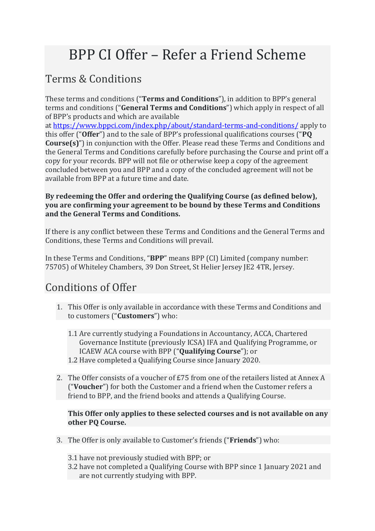# BPP CI Offer – Refer a Friend Scheme

# Terms & Conditions

These terms and conditions ("**Terms and Conditions**"), in addition to BPP's general terms and conditions ("**General Terms and Conditions**") which apply in respect of all of BPP's products and which are available

at <https://www.bppci.com/index.php/about/standard-terms-and-conditions/> apply to this offer ("**Offer**") and to the sale of BPP's professional qualifications courses ("**PQ Course(s)**") in conjunction with the Offer. Please read these Terms and Conditions and the General Terms and Conditions carefully before purchasing the Course and print off a copy for your records. BPP will not file or otherwise keep a copy of the agreement concluded between you and BPP and a copy of the concluded agreement will not be available from BPP at a future time and date.

#### **By redeeming the Offer and ordering the Qualifying Course (as defined below), you are confirming your agreement to be bound by these Terms and Conditions and the General Terms and Conditions.**

If there is any conflict between these Terms and Conditions and the General Terms and Conditions, these Terms and Conditions will prevail.

In these Terms and Conditions, "**BPP**" means BPP (CI) Limited (company number: 75705) of Whiteley Chambers, 39 Don Street, St Helier Jersey JE2 4TR, Jersey.

# Conditions of Offer

- 1. This Offer is only available in accordance with these Terms and Conditions and to customers ("**Customers**") who:
	- 1.1 Are currently studying a Foundations in Accountancy, ACCA, Chartered Governance Institute (previously ICSA) IFA and Qualifying Programme, or ICAEW ACA course with BPP ("**Qualifying Course**"); or 1.2 Have completed a Qualifying Course since January 2020.
- 2. The Offer consists of a voucher of £75 from one of the retailers listed at Annex A ("**Voucher**") for both the Customer and a friend when the Customer refers a friend to BPP, and the friend books and attends a Qualifying Course.

#### **This Offer only applies to these selected courses and is not available on any other PQ Course.**

- 3. The Offer is only available to Customer's friends ("**Friends**") who:
	- 3.1 have not previously studied with BPP; or
	- 3.2 have not completed a Qualifying Course with BPP since 1 January 2021 and are not currently studying with BPP.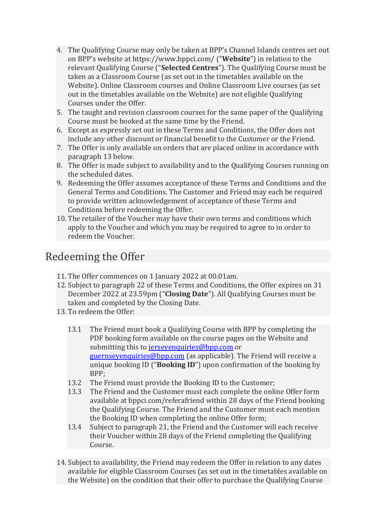- 4. The Qualifying Course may only be taken at BPP's Channel Islands centres set out on BPP's website at<https://www.bppci.com/> ("**Website**") in relation to the relevant Qualifying Course ("**Selected Centres**"). The Qualifying Course must be taken as a Classroom Course (as set out in the timetables available on the Website). Online Classroom courses and Online Classroom Live courses (as set out in the timetables available on the Website) are not eligible Qualifying Courses under the Offer.
- 5. The taught and revision classroom courses for the same paper of the Qualifying Course must be booked at the same time by the Friend.
- 6. Except as expressly set out in these Terms and Conditions, the Offer does not include any other discount or financial benefit to the Customer or the Friend.
- 7. The Offer is only available on orders that are placed online in accordance with paragraph 13 below.
- 8. The Offer is made subject to availability and to the Qualifying Courses running on the scheduled dates.
- 9. Redeeming the Offer assumes acceptance of these Terms and Conditions and the General Terms and Conditions. The Customer and Friend may each be required to provide written acknowledgement of acceptance of these Terms and Conditions before redeeming the Offer.
- 10. The retailer of the Voucher may have their own terms and conditions which apply to the Voucher and which you may be required to agree to in order to redeem the Voucher.

### Redeeming the Offer

- 11. The Offer commences on 1 January 2022 at 00.01am.
- 12. Subject to paragraph 22 of these Terms and Conditions, the Offer expires on 31 December 2022 at 23.59pm ("**Closing Date**"). All Qualifying Courses must be taken and completed by the Closing Date.
- 13. To redeem the Offer:
	- 13.1 The Friend must book a Qualifying Course with BPP by completing the PDF booking form available on the course pages on the Website and submitting this to [jerseyenquiries@bpp.com](mailto:jerseyenquiries@bpp.com) or [guernseyenquiries@bpp.com](mailto:guernseyenquiries@bpp.com) (as applicable). The Friend will receive a unique booking ID ("**Booking ID**") upon confirmation of the booking by BPP;
	- 13.2 The Friend must provide the Booking ID to the Customer;<br>13.3 The Friend and the Customer must each complete the onli
	- The Friend and the Customer must each complete the online Offer form available at bppci.com/referafriend within 28 days of the Friend booking the Qualifying Course. The Friend and the Customer must each mention the Booking ID when completing the online Offer form;
	- 13.4 Subject to paragraph 21, the Friend and the Customer will each receive their Voucher within 28 days of the Friend completing the Qualifying Course.
- 14. Subject to availability, the Friend may redeem the Offer in relation to any dates available for eligible Classroom Courses (as set out in the timetables available on the Website) on the condition that their offer to purchase the Qualifying Course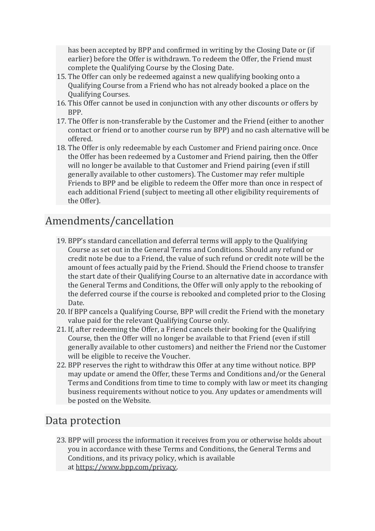has been accepted by BPP and confirmed in writing by the Closing Date or (if earlier) before the Offer is withdrawn. To redeem the Offer, the Friend must complete the Qualifying Course by the Closing Date.

- 15. The Offer can only be redeemed against a new qualifying booking onto a Qualifying Course from a Friend who has not already booked a place on the Qualifying Courses.
- 16. This Offer cannot be used in conjunction with any other discounts or offers by BPP.
- 17. The Offer is non-transferable by the Customer and the Friend (either to another contact or friend or to another course run by BPP) and no cash alternative will be offered.
- 18. The Offer is only redeemable by each Customer and Friend pairing once. Once the Offer has been redeemed by a Customer and Friend pairing, then the Offer will no longer be available to that Customer and Friend pairing (even if still generally available to other customers). The Customer may refer multiple Friends to BPP and be eligible to redeem the Offer more than once in respect of each additional Friend (subject to meeting all other eligibility requirements of the Offer).

### Amendments/cancellation

- 19. BPP's standard cancellation and deferral terms will apply to the Qualifying Course as set out in the General Terms and Conditions. Should any refund or credit note be due to a Friend, the value of such refund or credit note will be the amount of fees actually paid by the Friend. Should the Friend choose to transfer the start date of their Qualifying Course to an alternative date in accordance with the General Terms and Conditions, the Offer will only apply to the rebooking of the deferred course if the course is rebooked and completed prior to the Closing Date.
- 20. If BPP cancels a Qualifying Course, BPP will credit the Friend with the monetary value paid for the relevant Qualifying Course only.
- 21. If, after redeeming the Offer, a Friend cancels their booking for the Qualifying Course, then the Offer will no longer be available to that Friend (even if still generally available to other customers) and neither the Friend nor the Customer will be eligible to receive the Voucher.
- 22. BPP reserves the right to withdraw this Offer at any time without notice. BPP may update or amend the Offer, these Terms and Conditions and/or the General Terms and Conditions from time to time to comply with law or meet its changing business requirements without notice to you. Any updates or amendments will be posted on the Website.

#### Data protection

23. BPP will process the information it receives from you or otherwise holds about you in accordance with these Terms and Conditions, the General Terms and Conditions, and its privacy policy, which is available at [https://www.bpp.com/privacy.](https://www.bpp.com/privacy)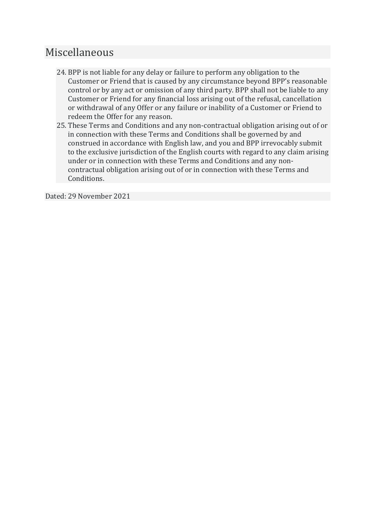### Miscellaneous

- 24. BPP is not liable for any delay or failure to perform any obligation to the Customer or Friend that is caused by any circumstance beyond BPP's reasonable control or by any act or omission of any third party. BPP shall not be liable to any Customer or Friend for any financial loss arising out of the refusal, cancellation or withdrawal of any Offer or any failure or inability of a Customer or Friend to redeem the Offer for any reason.
- 25. These Terms and Conditions and any non-contractual obligation arising out of or in connection with these Terms and Conditions shall be governed by and construed in accordance with English law, and you and BPP irrevocably submit to the exclusive jurisdiction of the English courts with regard to any claim arising under or in connection with these Terms and Conditions and any noncontractual obligation arising out of or in connection with these Terms and Conditions.

Dated: 29 November 2021